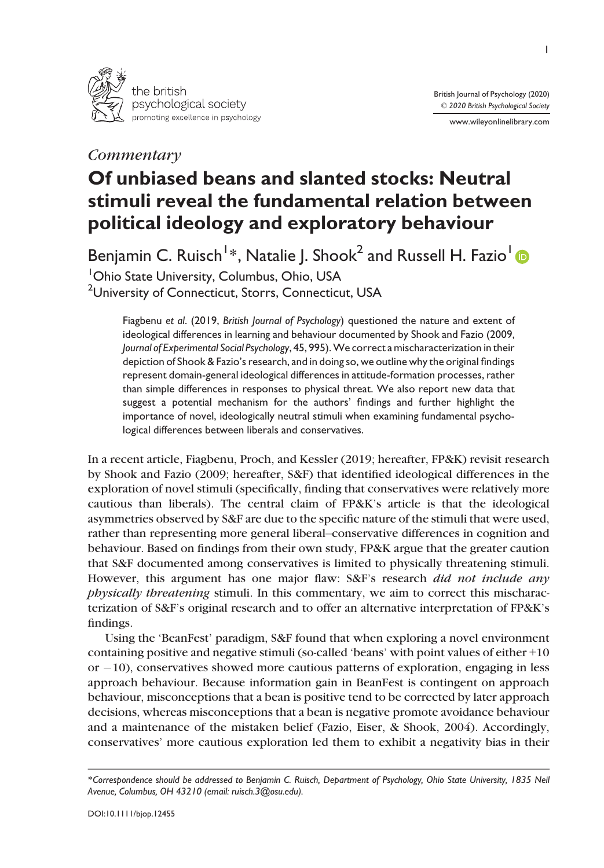

## **Commentary**

www.wileyonlinelibrary.com

# Of unbiased beans and slanted stocks: Neutral stimuli reveal the fundamental relation between political ideology and exploratory behaviour

Benjamin C. Ruisch<sup>[1](https://orcid.org/0000-0002-0754-8234)</sup>\*, Natalie J. Shook<sup>2</sup> and Russell H. Fazio<sup>1</sup> 1 Ohio State University, Columbus, Ohio, USA  $^2$ University of Connecticut, Storrs, Connecticut, USA

Fiagbenu et al. (2019, British Journal of Psychology) questioned the nature and extent of ideological differences in learning and behaviour documented by Shook and Fazio (2009, Journal of Experimental Social Psychology, 45, 995).We correct a mischaracterization in their depiction of Shook & Fazio's research, and in doing so, we outline why the original findings represent domain-general ideological differences in attitude-formation processes, rather than simple differences in responses to physical threat. We also report new data that suggest a potential mechanism for the authors' findings and further highlight the importance of novel, ideologically neutral stimuli when examining fundamental psychological differences between liberals and conservatives.

In a recent article, Fiagbenu, Proch, and Kessler (2019; hereafter, FP&K) revisit research by Shook and Fazio (2009; hereafter, S&F) that identified ideological differences in the exploration of novel stimuli (specifically, finding that conservatives were relatively more cautious than liberals). The central claim of FP&K's article is that the ideological asymmetries observed by S&F are due to the specific nature of the stimuli that were used, rather than representing more general liberal–conservative differences in cognition and behaviour. Based on findings from their own study, FP&K argue that the greater caution that S&F documented among conservatives is limited to physically threatening stimuli. However, this argument has one major flaw: S&F's research did not include any physically threatening stimuli. In this commentary, we aim to correct this mischaracterization of S&F's original research and to offer an alternative interpretation of FP&K's findings.

Using the 'BeanFest' paradigm, S&F found that when exploring a novel environment containing positive and negative stimuli (so-called 'beans' with point values of either +10 or  $-10$ ), conservatives showed more cautious patterns of exploration, engaging in less approach behaviour. Because information gain in BeanFest is contingent on approach behaviour, misconceptions that a bean is positive tend to be corrected by later approach decisions, whereas misconceptions that a bean is negative promote avoidance behaviour and a maintenance of the mistaken belief (Fazio, Eiser, & Shook, 2004). Accordingly, conservatives' more cautious exploration led them to exhibit a negativity bias in their

<sup>\*</sup>Correspondence should be addressed to Benjamin C. Ruisch, Department of Psychology, Ohio State University, 1835 Neil Avenue, Columbus, OH 43210 (email: [ruisch.3@osu.edu\)](mailto:ruisch.3@osu.edu).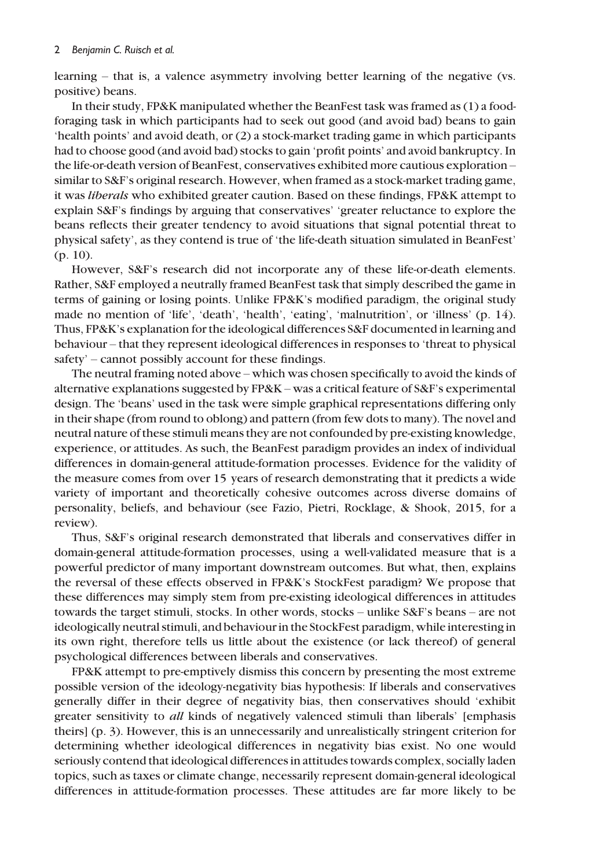learning – that is, a valence asymmetry involving better learning of the negative (vs. positive) beans.

In their study, FP&K manipulated whether the BeanFest task was framed as (1) a foodforaging task in which participants had to seek out good (and avoid bad) beans to gain 'health points' and avoid death, or (2) a stock-market trading game in which participants had to choose good (and avoid bad) stocks to gain 'profit points' and avoid bankruptcy. In the life-or-death version of BeanFest, conservatives exhibited more cautious exploration – similar to S&F's original research. However, when framed as a stock-market trading game, it was liberals who exhibited greater caution. Based on these findings, FP&K attempt to explain S&F's findings by arguing that conservatives' 'greater reluctance to explore the beans reflects their greater tendency to avoid situations that signal potential threat to physical safety', as they contend is true of 'the life-death situation simulated in BeanFest' (p. 10).

However, S&F's research did not incorporate any of these life-or-death elements. Rather, S&F employed a neutrally framed BeanFest task that simply described the game in terms of gaining or losing points. Unlike FP&K's modified paradigm, the original study made no mention of 'life', 'death', 'health', 'eating', 'malnutrition', or 'illness' (p. 14). Thus, FP&K's explanation for the ideological differences S&F documented in learning and behaviour – that they represent ideological differences in responses to 'threat to physical safety' – cannot possibly account for these findings.

The neutral framing noted above – which was chosen specifically to avoid the kinds of alternative explanations suggested by FP&K – was a critical feature of S&F's experimental design. The 'beans' used in the task were simple graphical representations differing only in their shape (from round to oblong) and pattern (from few dots to many). The novel and neutral nature of these stimuli means they are not confounded by pre-existing knowledge, experience, or attitudes. As such, the BeanFest paradigm provides an index of individual differences in domain-general attitude-formation processes. Evidence for the validity of the measure comes from over 15 years of research demonstrating that it predicts a wide variety of important and theoretically cohesive outcomes across diverse domains of personality, beliefs, and behaviour (see Fazio, Pietri, Rocklage, & Shook, 2015, for a review).

Thus, S&F's original research demonstrated that liberals and conservatives differ in domain-general attitude-formation processes, using a well-validated measure that is a powerful predictor of many important downstream outcomes. But what, then, explains the reversal of these effects observed in FP&K's StockFest paradigm? We propose that these differences may simply stem from pre-existing ideological differences in attitudes towards the target stimuli, stocks. In other words, stocks – unlike S&F's beans – are not ideologically neutral stimuli, and behaviour in the StockFest paradigm, while interesting in its own right, therefore tells us little about the existence (or lack thereof) of general psychological differences between liberals and conservatives.

FP&K attempt to pre-emptively dismiss this concern by presenting the most extreme possible version of the ideology-negativity bias hypothesis: If liberals and conservatives generally differ in their degree of negativity bias, then conservatives should 'exhibit greater sensitivity to *all* kinds of negatively valenced stimuli than liberals' [emphasis theirs] (p. 3). However, this is an unnecessarily and unrealistically stringent criterion for determining whether ideological differences in negativity bias exist. No one would seriously contend that ideological differences in attitudes towards complex, socially laden topics, such as taxes or climate change, necessarily represent domain-general ideological differences in attitude-formation processes. These attitudes are far more likely to be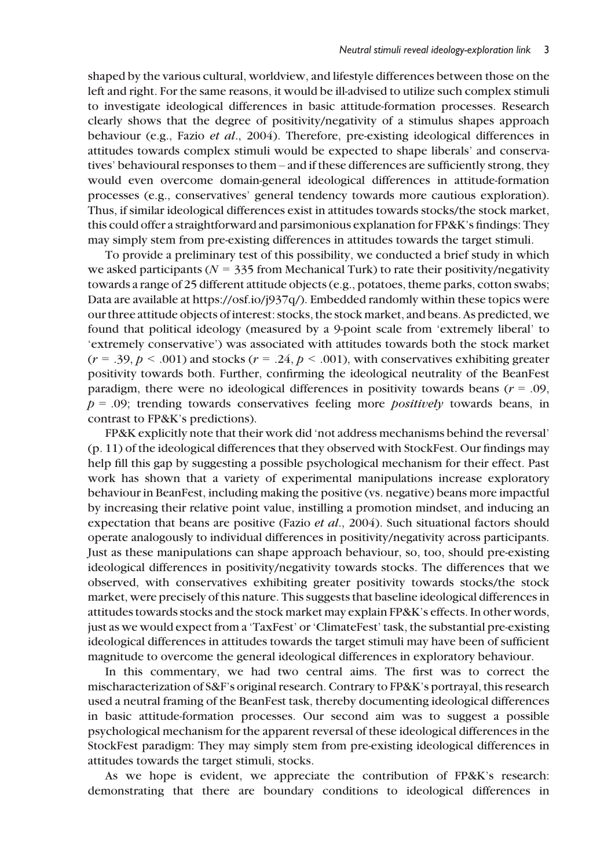shaped by the various cultural, worldview, and lifestyle differences between those on the left and right. For the same reasons, it would be ill-advised to utilize such complex stimuli to investigate ideological differences in basic attitude-formation processes. Research clearly shows that the degree of positivity/negativity of a stimulus shapes approach behaviour (e.g., Fazio et al., 2004). Therefore, pre-existing ideological differences in attitudes towards complex stimuli would be expected to shape liberals' and conservatives' behavioural responses to them – and if these differences are sufficiently strong, they would even overcome domain-general ideological differences in attitude-formation processes (e.g., conservatives' general tendency towards more cautious exploration). Thus, if similar ideological differences exist in attitudes towards stocks/the stock market, this could offer a straightforward and parsimonious explanation for FP&K's findings: They may simply stem from pre-existing differences in attitudes towards the target stimuli.

To provide a preliminary test of this possibility, we conducted a brief study in which we asked participants ( $N = 335$  from Mechanical Turk) to rate their positivity/negativity towards a range of 25 different attitude objects (e.g., potatoes, theme parks, cotton swabs; Data are available at [https://osf.io/j937q/\)](https://osf.io/j937q/). Embedded randomly within these topics were our three attitude objects of interest: stocks, the stock market, and beans. As predicted, we found that political ideology (measured by a 9-point scale from 'extremely liberal' to 'extremely conservative') was associated with attitudes towards both the stock market  $(r = .39, p < .001)$  and stocks  $(r = .24, p < .001)$ , with conservatives exhibiting greater positivity towards both. Further, confirming the ideological neutrality of the BeanFest paradigm, there were no ideological differences in positivity towards beans  $(r = .09)$ ,  $p = .09$ ; trending towards conservatives feeling more *positively* towards beans, in contrast to FP&K's predictions).

FP&K explicitly note that their work did 'not address mechanisms behind the reversal' (p. 11) of the ideological differences that they observed with StockFest. Our findings may help fill this gap by suggesting a possible psychological mechanism for their effect. Past work has shown that a variety of experimental manipulations increase exploratory behaviour in BeanFest, including making the positive (vs. negative) beans more impactful by increasing their relative point value, instilling a promotion mindset, and inducing an expectation that beans are positive (Fazio et al., 2004). Such situational factors should operate analogously to individual differences in positivity/negativity across participants. Just as these manipulations can shape approach behaviour, so, too, should pre-existing ideological differences in positivity/negativity towards stocks. The differences that we observed, with conservatives exhibiting greater positivity towards stocks/the stock market, were precisely of this nature. This suggests that baseline ideological differences in attitudes towards stocks and the stock market may explain FP&K's effects. In other words, just as we would expect from a 'TaxFest' or 'ClimateFest' task, the substantial pre-existing ideological differences in attitudes towards the target stimuli may have been of sufficient magnitude to overcome the general ideological differences in exploratory behaviour.

In this commentary, we had two central aims. The first was to correct the mischaracterization of S&F's original research. Contrary to FP&K's portrayal, this research used a neutral framing of the BeanFest task, thereby documenting ideological differences in basic attitude-formation processes. Our second aim was to suggest a possible psychological mechanism for the apparent reversal of these ideological differences in the StockFest paradigm: They may simply stem from pre-existing ideological differences in attitudes towards the target stimuli, stocks.

As we hope is evident, we appreciate the contribution of FP&K's research: demonstrating that there are boundary conditions to ideological differences in